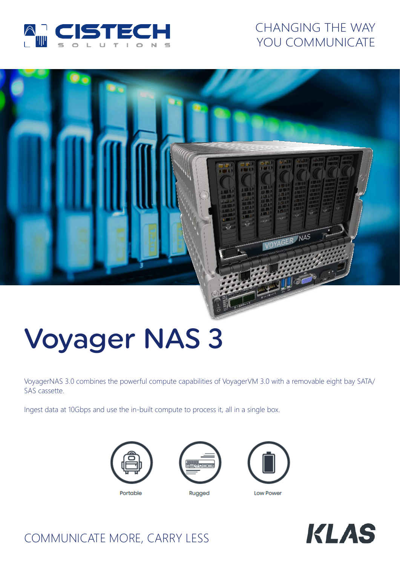

# CHANGING THE WAY YOU COMMUNICATE

# NAS VOYAGER

# Voyager NAS 3

VoyagerNAS 3.0 combines the powerful compute capabilities of VoyagerVM 3.0 with a removable eight bay SATA/ SAS cassette.

Ingest data at 10Gbps and use the in-built compute to process it, all in a single box.









# COMMUNICATE MORE, CARRY LESS